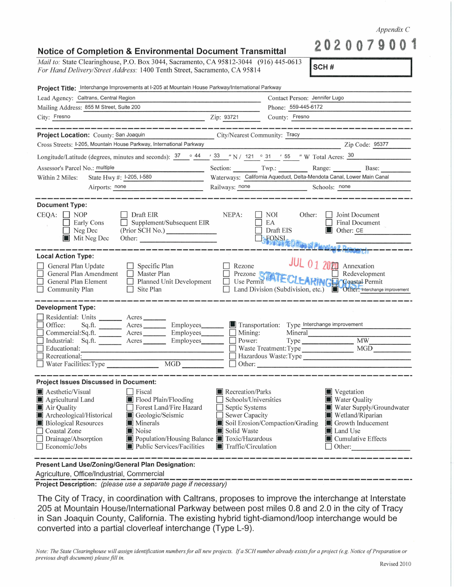## *Appendix* C

**2020079001** 

**!scH** # I

## **Notice of Completion & Environmental Document Transmittal**

*Mail to:* State Clearinghouse, P.O. Box 3044, Sacramento, CA 95812-3044 (916) 445-0613 *For Hand Delivery/Street Address:* 1400 Tenth Street, Sacramento, CA 95814

| Project Title: Interchange Improvements at I-205 at Mountain House Parkway/International Parkway                                                                                                                                                                                                                                                                                                         |                                                                                                                    |                                                                                  |                                                                                                                                                         |  |
|----------------------------------------------------------------------------------------------------------------------------------------------------------------------------------------------------------------------------------------------------------------------------------------------------------------------------------------------------------------------------------------------------------|--------------------------------------------------------------------------------------------------------------------|----------------------------------------------------------------------------------|---------------------------------------------------------------------------------------------------------------------------------------------------------|--|
| Lead Agency: Caltrans, Central Region                                                                                                                                                                                                                                                                                                                                                                    | Contact Person: Jennifer Lugo                                                                                      |                                                                                  |                                                                                                                                                         |  |
| Mailing Address: 855 M Street, Suite 200                                                                                                                                                                                                                                                                                                                                                                 |                                                                                                                    | Phone: 559-445-6172                                                              |                                                                                                                                                         |  |
| City: Fresno<br>Zip: 93721                                                                                                                                                                                                                                                                                                                                                                               |                                                                                                                    | County: Fresno                                                                   |                                                                                                                                                         |  |
|                                                                                                                                                                                                                                                                                                                                                                                                          |                                                                                                                    |                                                                                  |                                                                                                                                                         |  |
| Project Location: County: San Joaquin                                                                                                                                                                                                                                                                                                                                                                    | City/Nearest Community: Tracy                                                                                      |                                                                                  |                                                                                                                                                         |  |
| Cross Streets: I-205, Mountain House Parkway, International Parkway                                                                                                                                                                                                                                                                                                                                      |                                                                                                                    |                                                                                  | Zip Code: 95377                                                                                                                                         |  |
| Longitude/Latitude (degrees, minutes and seconds): $37 \cdot 944$ / $33 \cdot 1 \cdot 121$ / 31 / 55 / W Total Acres: $30$                                                                                                                                                                                                                                                                               |                                                                                                                    |                                                                                  |                                                                                                                                                         |  |
| Assessor's Parcel No.: multiple                                                                                                                                                                                                                                                                                                                                                                          |                                                                                                                    |                                                                                  | Section: Twp.: Range: Base:                                                                                                                             |  |
| State Hwy #: 1-205, 1-580<br>Within 2 Miles:                                                                                                                                                                                                                                                                                                                                                             | Waterways: California Aqueduct, Delta-Mendota Canal, Lower Main Canal                                              |                                                                                  |                                                                                                                                                         |  |
| Airports: none                                                                                                                                                                                                                                                                                                                                                                                           | Railways: none                                                                                                     |                                                                                  | Schools: none                                                                                                                                           |  |
| <b>Document Type:</b><br>$CEQA: \Box NOP$<br>Draft EIR<br>Supplement/Subsequent EIR<br>Early Cons<br>(Prior SCH No.)<br>$\Box$ Neg Dec<br>Mit Neg Dec<br>Other:                                                                                                                                                                                                                                          | NEPA:                                                                                                              | NOI<br>Other:<br>EA<br>Draft EIS<br>FONSI<br>JONNI (SORIA SEPLANDAY & ROSSER CH  | Joint Document<br>Final Document<br>Other: CE                                                                                                           |  |
| <b>Local Action Type:</b><br>General Plan Update<br>$\Box$ Specific Plan<br>General Plan Amendment   Master Plan<br>Planned Unit Development<br>General Plan Element<br>$\Box$ Community Plan<br>$\Box$ Site Plan                                                                                                                                                                                        | Rezone                                                                                                             | <b>JUL 01 2020</b>                                                               | Annexation<br>Redevelopment<br>□ Prezone STATECLEARINGHCGeastal Permit<br>Land Division (Subdivision, etc.) <b>Delay Other:</b> Interchange improvement |  |
| <b>Development Type:</b>                                                                                                                                                                                                                                                                                                                                                                                 |                                                                                                                    |                                                                                  |                                                                                                                                                         |  |
| Residential: Units ________ Acres _______<br>Employees_______<br>Office:<br>Commercial:Sq.ft. Acres Employees<br>Industrial: Sq.ft. Acres Employees<br>Educational:<br>Recreational:<br>MGD NGC                                                                                                                                                                                                          | $\vert$ Mining:<br>Power:<br>$\Box$ Other:                                                                         | Transportation: Type Interchange improvement<br>Mineral<br>Hazardous Waste: Type | Waste Treatment: Type MGD                                                                                                                               |  |
| <b>Project Issues Discussed in Document:</b>                                                                                                                                                                                                                                                                                                                                                             |                                                                                                                    |                                                                                  |                                                                                                                                                         |  |
| <b>A</b> Aesthetic/Visual<br>  Fiscal<br>Flood Plain/Flooding<br>Agricultural Land<br>Forest Land/Fire Hazard<br>Air Quality<br>Archeological/Historical<br>Geologic/Seismic<br><b>Biological Resources</b><br><b>Minerals</b><br>Coastal Zone<br>Noise<br>Population/Housing Balance <b>T</b> oxic/Hazardous<br>$\Box$ Drainage/Absorption<br><b>Public Services/Facilities</b><br>$\Box$ Economic/Jobs | Recreation/Parks<br>Schools/Universities<br>Septic Systems<br>Sewer Capacity<br>Solid Waste<br>Traffic/Circulation | Soil Erosion/Compaction/Grading                                                  | ■ Vegetation<br><b>Water Quality</b><br>Water Supply/Groundwater<br>Wetland/Riparian<br>Growth Inducement<br>Land Use<br>■ Cumulative Effects<br>Other: |  |
| <b>Present Land Use/Zoning/General Plan Designation:</b>                                                                                                                                                                                                                                                                                                                                                 |                                                                                                                    |                                                                                  |                                                                                                                                                         |  |

Agriculture, Office/Industrial, Commercial

-------------------------------------------------------------- **Project Description:** (please use a separate page if necessary)

The City of Tracy, in coordination with Caltrans, proposes to improve the interchange at Interstate 205 at Mountain House/International Parkway between post miles 0.8 and 2.0 in the city of Tracy in San Joaquin County, California. The existing hybrid tight-diamond/loop interchange would be converted into a partial cloverleaf interchange (Type L-9).

*Note: The State Clearinghouse will assign identification numbers for all new projects. If a SCH number already exists for a project (e.g. Notice of Preparation or previous draft document) please fill in.*